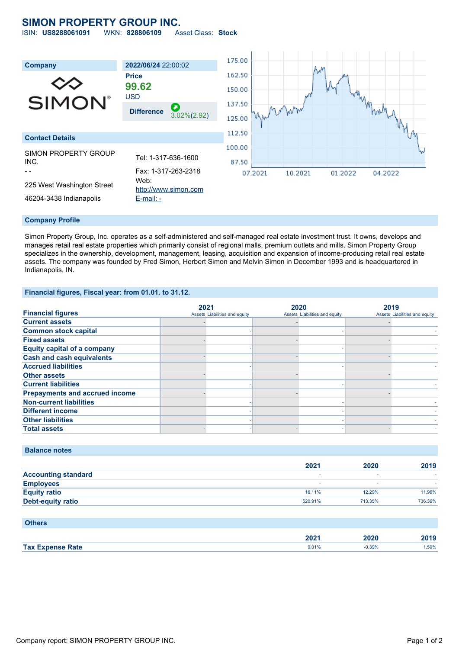# **SIMON PROPERTY GROUP INC.**

ISIN: **US8288061091** WKN: **828806109** Asset Class: **Stock**



#### **Company Profile**

Simon Property Group, Inc. operates as a self-administered and self-managed real estate investment trust. It owns, develops and manages retail real estate properties which primarily consist of regional malls, premium outlets and mills. Simon Property Group specializes in the ownership, development, management, leasing, acquisition and expansion of income-producing retail real estate assets. The company was founded by Fred Simon, Herbert Simon and Melvin Simon in December 1993 and is headquartered in Indianapolis, IN.

### **Financial figures, Fiscal year: from 01.01. to 31.12.**

|                                       | 2021                          | 2020                          | 2019                          |
|---------------------------------------|-------------------------------|-------------------------------|-------------------------------|
| <b>Financial figures</b>              | Assets Liabilities and equity | Assets Liabilities and equity | Assets Liabilities and equity |
| <b>Current assets</b>                 |                               |                               |                               |
| <b>Common stock capital</b>           |                               |                               |                               |
| <b>Fixed assets</b>                   |                               |                               |                               |
| <b>Equity capital of a company</b>    |                               |                               |                               |
| <b>Cash and cash equivalents</b>      |                               |                               |                               |
| <b>Accrued liabilities</b>            |                               |                               |                               |
| <b>Other assets</b>                   |                               |                               |                               |
| <b>Current liabilities</b>            |                               |                               |                               |
| <b>Prepayments and accrued income</b> |                               |                               |                               |
| <b>Non-current liabilities</b>        |                               |                               |                               |
| <b>Different income</b>               |                               |                               |                               |
| <b>Other liabilities</b>              |                               |                               |                               |
| <b>Total assets</b>                   |                               |                               |                               |

## **Balance notes**

|                            | 2021    | 2020    | 2019    |
|----------------------------|---------|---------|---------|
| <b>Accounting standard</b> |         |         |         |
| <b>Employees</b>           |         |         |         |
| <b>Equity ratio</b>        | 16.11%  | 12.29%  | 11.96%  |
| <b>Debt-equity ratio</b>   | 520.91% | 713.35% | 736.36% |

| <b>Others</b>           |                  |          |      |
|-------------------------|------------------|----------|------|
|                         | 202 <sub>1</sub> | 2020     | 2019 |
| <b>Tax Expense Rate</b> | 9.01%            | $-0.39%$ | .50% |